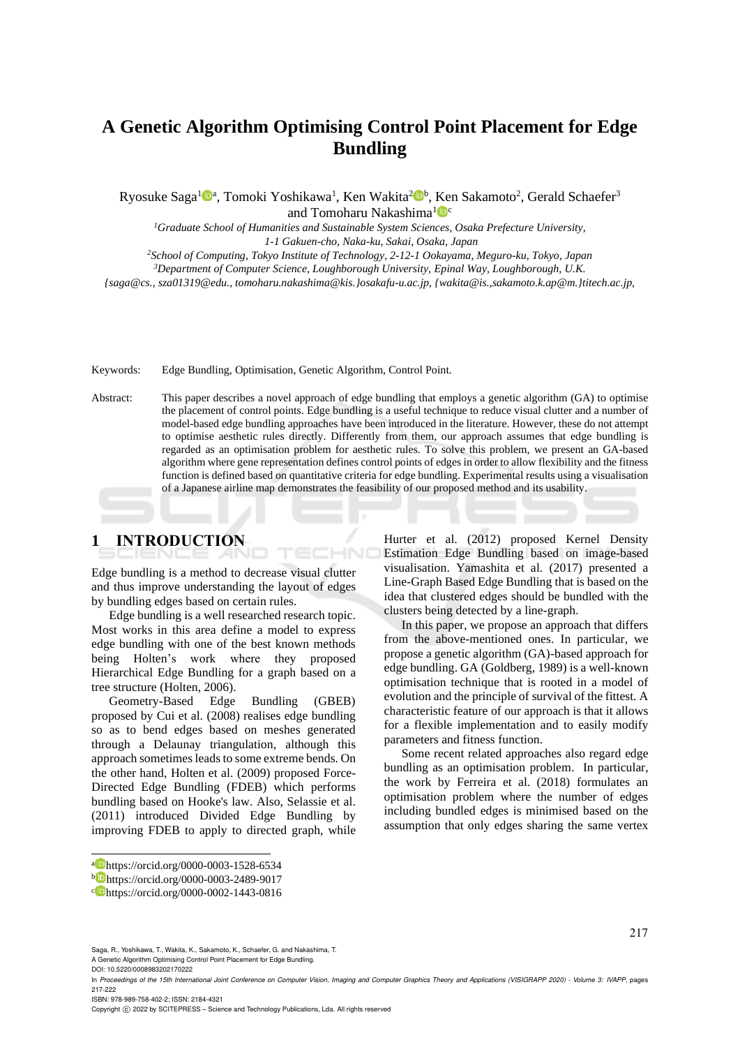# **A Genetic Algorithm Optimising Control Point Placement for Edge Bundling**

Ryosuke Saga<sup>1</sup>©ª, Tomoki Yoshikawa<sup>1</sup>, Ken Wakita<sup>2</sup>©<sup>b</sup>, Ken Sakamoto<sup>2</sup>, Gerald Schaefer<sup>3</sup> and Tomoharu Nakashima $^{1}$ 

*<sup>1</sup>Graduate School of Humanities and Sustainable System Sciences, Osaka Prefecture University, 1-1 Gakuen-cho, Naka-ku, Sakai, Osaka, Japan*

*<sup>2</sup>School of Computing, Tokyo Institute of Technology, 2-12-1 Ookayama, Meguro-ku, Tokyo, Japan <sup>3</sup>Department of Computer Science, Loughborough University, Epinal Way, Loughborough, U.K. {saga@cs., sza01319@edu., tomoharu.nakashima@kis.}osakafu-u.ac.jp, {wakita@is.,sakamoto.k.ap@m.}titech.ac.jp,* 

Keywords: Edge Bundling, Optimisation, Genetic Algorithm, Control Point.

Abstract: This paper describes a novel approach of edge bundling that employs a genetic algorithm (GA) to optimise the placement of control points. Edge bundling is a useful technique to reduce visual clutter and a number of model-based edge bundling approaches have been introduced in the literature. However, these do not attempt to optimise aesthetic rules directly. Differently from them, our approach assumes that edge bundling is regarded as an optimisation problem for aesthetic rules. To solve this problem, we present an GA-based algorithm where gene representation defines control points of edges in order to allow flexibility and the fitness function is defined based on quantitative criteria for edge bundling. Experimental results using a visualisation of a Japanese airline map demonstrates the feasibility of our proposed method and its usability.

HNC

# **1 INTRODUCTION**

Edge bundling is a method to decrease visual clutter and thus improve understanding the layout of edges by bundling edges based on certain rules.

Edge bundling is a well researched research topic. Most works in this area define a model to express edge bundling with one of the best known methods being Holten's work where they proposed Hierarchical Edge Bundling for a graph based on a tree structure (Holten, 2006).

Geometry-Based Edge Bundling (GBEB) proposed by Cui et al. (2008) realises edge bundling so as to bend edges based on meshes generated through a Delaunay triangulation, although this approach sometimes leads to some extreme bends. On the other hand, Holten et al. (2009) proposed Force-Directed Edge Bundling (FDEB) which performs bundling based on Hooke's law. Also, Selassie et al. (2011) introduced Divided Edge Bundling by improving FDEB to apply to directed graph, while

a https://orcid.org/0000-0003-1528-6534

Hurter et al. (2012) proposed Kernel Density Estimation Edge Bundling based on image-based visualisation. Yamashita et al. (2017) presented a Line-Graph Based Edge Bundling that is based on the idea that clustered edges should be bundled with the clusters being detected by a line-graph.

In this paper, we propose an approach that differs from the above-mentioned ones. In particular, we propose a genetic algorithm (GA)-based approach for edge bundling. GA (Goldberg, 1989) is a well-known optimisation technique that is rooted in a model of evolution and the principle of survival of the fittest. A characteristic feature of our approach is that it allows for a flexible implementation and to easily modify parameters and fitness function.

Some recent related approaches also regard edge bundling as an optimisation problem. In particular, the work by Ferreira et al. (2018) formulates an optimisation problem where the number of edges including bundled edges is minimised based on the assumption that only edges sharing the same vertex

Saga, R., Yoshikawa, T., Wakita, K., Sakamoto, K., Schaefer, G. and Nakashima, T. A Genetic Algorithm Optimising Control Point Placement for Edge Bundling.

DOI: 10.5220/0008983202170222

ISBN: 978-989-758-402-2; ISSN: 2184-4321

Copyright (C) 2022 by SCITEPRESS - Science and Technology Publications, Lda. All rights reserved

<sup>b</sup> https://orcid.org/0000-0003-2489-9017

c https://orcid.org/0000-0002-1443-0816

In *Proceedings of the 15th International Joint Conference on Computer Vision, Imaging and Computer Graphics Theory and Applications (VISIGRAPP 2020) - Volume 3: IVAPP*, pages 217-222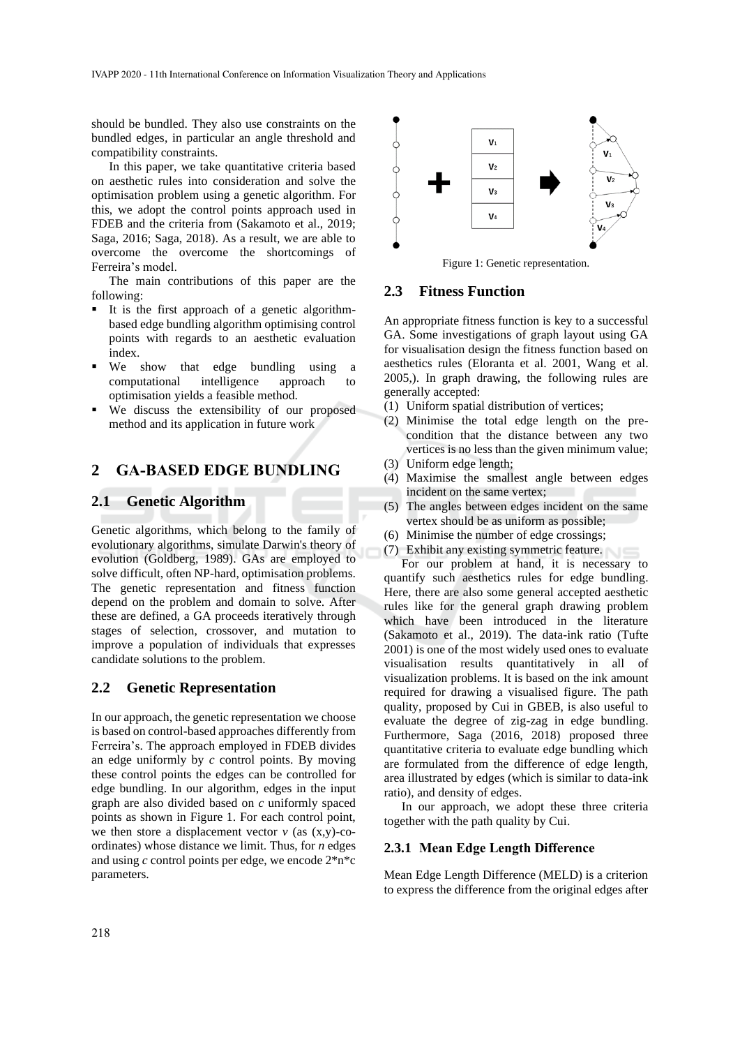should be bundled. They also use constraints on the bundled edges, in particular an angle threshold and compatibility constraints.

In this paper, we take quantitative criteria based on aesthetic rules into consideration and solve the optimisation problem using a genetic algorithm. For this, we adopt the control points approach used in FDEB and the criteria from (Sakamoto et al., 2019; Saga, 2016; Saga, 2018). As a result, we are able to overcome the overcome the shortcomings of Ferreira's model.

The main contributions of this paper are the following:

- It is the first approach of a genetic algorithmbased edge bundling algorithm optimising control points with regards to an aesthetic evaluation index.
- We show that edge bundling using a computational intelligence approach to optimisation yields a feasible method.
- We discuss the extensibility of our proposed method and its application in future work

# **2 GA-BASED EDGE BUNDLING**

## **2.1 Genetic Algorithm**

Genetic algorithms, which belong to the family of evolutionary algorithms, simulate Darwin's theory of evolution (Goldberg, 1989). GAs are employed to solve difficult, often NP-hard, optimisation problems. The genetic representation and fitness function depend on the problem and domain to solve. After these are defined, a GA proceeds iteratively through stages of selection, crossover, and mutation to improve a population of individuals that expresses candidate solutions to the problem.

### **2.2 Genetic Representation**

In our approach, the genetic representation we choose is based on control-based approaches differently from Ferreira's. The approach employed in FDEB divides an edge uniformly by *c* control points. By moving these control points the edges can be controlled for edge bundling. In our algorithm, edges in the input graph are also divided based on *c* uniformly spaced points as shown in Figure 1. For each control point, we then store a displacement vector  $v$  (as  $(x,y)$ -coordinates) whose distance we limit. Thus, for *n* edges and using *c* control points per edge, we encode 2\*n\*c parameters.



Figure 1: Genetic representation.

## **2.3 Fitness Function**

An appropriate fitness function is key to a successful GA. Some investigations of graph layout using GA for visualisation design the fitness function based on aesthetics rules (Eloranta et al. 2001, Wang et al. 2005,). In graph drawing, the following rules are generally accepted:

- (1) Uniform spatial distribution of vertices;
- (2) Minimise the total edge length on the precondition that the distance between any two vertices is no less than the given minimum value;
- (3) Uniform edge length;
- (4) Maximise the smallest angle between edges incident on the same vertex;
- (5) The angles between edges incident on the same vertex should be as uniform as possible;
- (6) Minimise the number of edge crossings;
- (7) Exhibit any existing symmetric feature.

For our problem at hand, it is necessary to quantify such aesthetics rules for edge bundling. Here, there are also some general accepted aesthetic rules like for the general graph drawing problem which have been introduced in the literature (Sakamoto et al., 2019). The data-ink ratio (Tufte 2001) is one of the most widely used ones to evaluate visualisation results quantitatively in all of visualization problems. It is based on the ink amount required for drawing a visualised figure. The path quality, proposed by Cui in GBEB, is also useful to evaluate the degree of zig-zag in edge bundling. Furthermore, Saga (2016, 2018) proposed three quantitative criteria to evaluate edge bundling which are formulated from the difference of edge length, area illustrated by edges (which is similar to data-ink ratio), and density of edges.

In our approach, we adopt these three criteria together with the path quality by Cui.

#### **2.3.1 Mean Edge Length Difference**

Mean Edge Length Difference (MELD) is a criterion to express the difference from the original edges after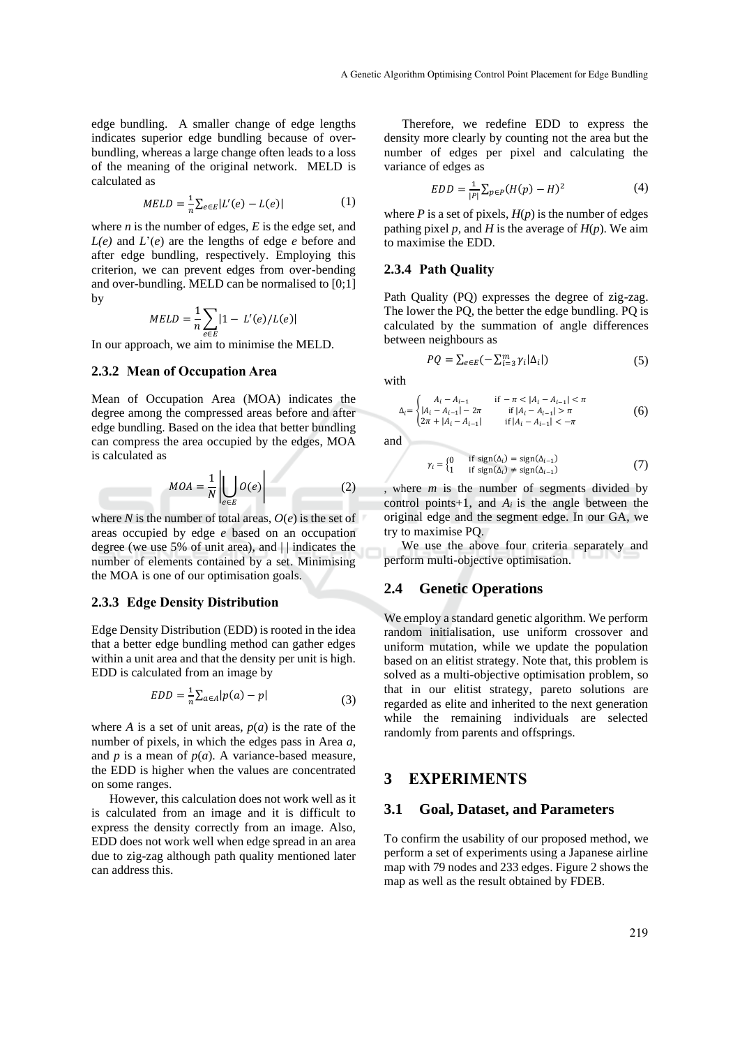edge bundling. A smaller change of edge lengths indicates superior edge bundling because of overbundling, whereas a large change often leads to a loss of the meaning of the original network. MELD is calculated as

$$
MELD = \frac{1}{n} \sum_{e \in E} |L'(e) - L(e)| \tag{1}
$$

where  $n$  is the number of edges,  $E$  is the edge set, and *L(e)* and *L*'(*e*) are the lengths of edge *e* before and after edge bundling, respectively. Employing this criterion, we can prevent edges from over-bending and over-bundling. MELD can be normalised to [0;1] by

$$
MED = \frac{1}{n} \sum_{e \in E} |1 - L'(e)/L(e)|
$$

In our approach, we aim to minimise the MELD.

#### **2.3.2 Mean of Occupation Area**

Mean of Occupation Area (MOA) indicates the degree among the compressed areas before and after edge bundling. Based on the idea that better bundling can compress the area occupied by the edges, MOA is calculated as

$$
MOA = \frac{1}{N} \left| \bigcup_{e \in E} O(e) \right| \tag{2}
$$

where *N* is the number of total areas,  $O(e)$  is the set of areas occupied by edge *e* based on an occupation degree (we use 5% of unit area), and | | indicates the number of elements contained by a set. Minimising the MOA is one of our optimisation goals.

#### **2.3.3 Edge Density Distribution**

Edge Density Distribution (EDD) is rooted in the idea that a better edge bundling method can gather edges within a unit area and that the density per unit is high. EDD is calculated from an image by

$$
EDD = \frac{1}{n} \sum_{a \in A} |p(a) - p| \tag{3}
$$

where *A* is a set of unit areas,  $p(a)$  is the rate of the number of pixels, in which the edges pass in Area *a*, and  $p$  is a mean of  $p(a)$ . A variance-based measure, the EDD is higher when the values are concentrated on some ranges.

However, this calculation does not work well as it is calculated from an image and it is difficult to express the density correctly from an image. Also, EDD does not work well when edge spread in an area due to zig-zag although path quality mentioned later can address this.

Therefore, we redefine EDD to express the density more clearly by counting not the area but the number of edges per pixel and calculating the variance of edges as

$$
EDD = \frac{1}{|P|} \sum_{p \in P} (H(p) - H)^2
$$
 (4)

where  $P$  is a set of pixels,  $H(p)$  is the number of edges pathing pixel *p*, and *H* is the average of  $H(p)$ . We aim to maximise the EDD.

#### **2.3.4 Path Quality**

Path Quality (PQ) expresses the degree of zig-zag. The lower the PQ, the better the edge bundling. PQ is calculated by the summation of angle differences between neighbours as

$$
PQ = \sum_{e \in E} \left( -\sum_{i=3}^{m} \gamma_i |\Delta_i| \right) \tag{5}
$$

with

$$
\Delta_{i} = \begin{cases}\nA_{i} - A_{i-1} & \text{if } -\pi < |A_{i} - A_{i-1}| < \pi \\
|A_{i} - A_{i-1}| - 2\pi & \text{if } |A_{i} - A_{i-1}| > \pi \\
2\pi + |A_{i} - A_{i-1}| & \text{if } |A_{i} - A_{i-1}| < -\pi\n\end{cases}
$$
\n(6)

and

$$
\gamma_i = \begin{cases} 0 & \text{if sign}(\Delta_i) = \text{sign}(\Delta_{i-1}) \\ 1 & \text{if sign}(\Delta_i) \neq \text{sign}(\Delta_{i-1}) \end{cases} \tag{7}
$$

, where *m* is the number of segments divided by control points+1, and  $A_i$  is the angle between the original edge and the segment edge. In our GA, we try to maximise PQ.

We use the above four criteria separately and perform multi-objective optimisation.

#### **2.4 Genetic Operations**

We employ a standard genetic algorithm. We perform random initialisation, use uniform crossover and uniform mutation, while we update the population based on an elitist strategy. Note that, this problem is solved as a multi-objective optimisation problem, so that in our elitist strategy, pareto solutions are regarded as elite and inherited to the next generation while the remaining individuals are selected randomly from parents and offsprings.

## **3 EXPERIMENTS**

#### **3.1 Goal, Dataset, and Parameters**

To confirm the usability of our proposed method, we perform a set of experiments using a Japanese airline map with 79 nodes and 233 edges. Figure 2 shows the map as well as the result obtained by FDEB.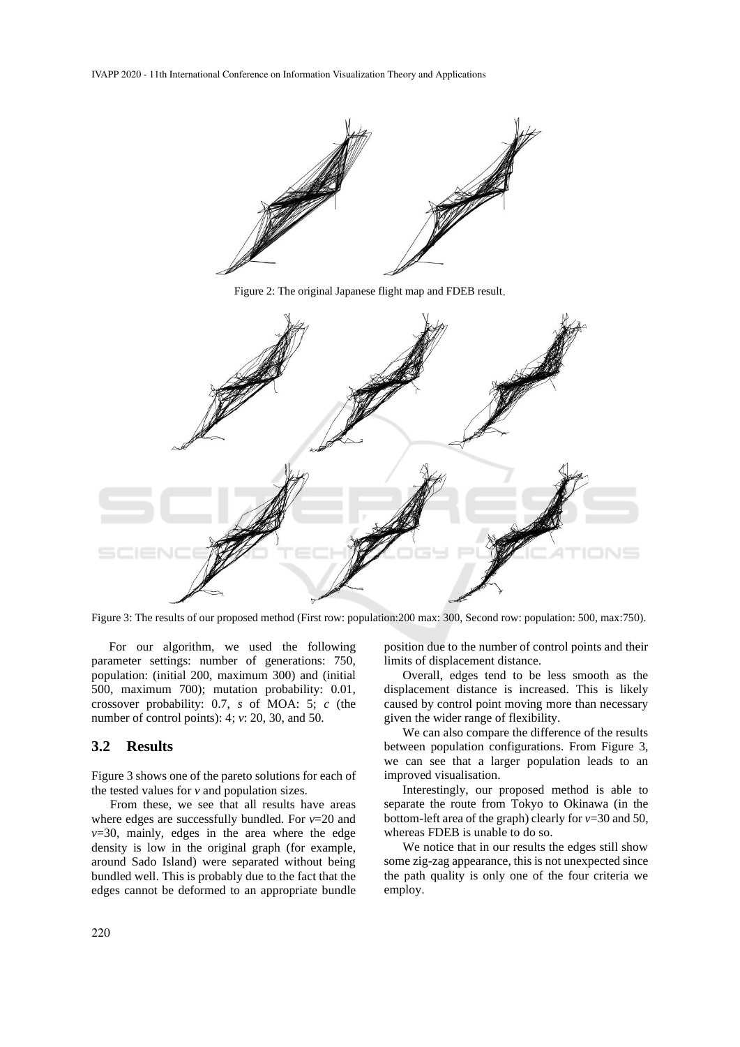IVAPP 2020 - 11th International Conference on Information Visualization Theory and Applications



Figure 2: The original Japanese flight map and FDEB result



Figure 3: The results of our proposed method (First row: population:200 max: 300, Second row: population: 500, max:750).

For our algorithm, we used the following parameter settings: number of generations: 750, population: (initial 200, maximum 300) and (initial 500, maximum 700); mutation probability: 0.01, crossover probability: 0.7, *s* of MOA: 5; *c* (the number of control points): 4; *v*: 20, 30, and 50.

#### **3.2 Results**

Figure 3 shows one of the pareto solutions for each of the tested values for *v* and population sizes.

From these, we see that all results have areas where edges are successfully bundled. For *v*=20 and  $v=30$ , mainly, edges in the area where the edge density is low in the original graph (for example, around Sado Island) were separated without being bundled well. This is probably due to the fact that the edges cannot be deformed to an appropriate bundle

position due to the number of control points and their limits of displacement distance.

Overall, edges tend to be less smooth as the displacement distance is increased. This is likely caused by control point moving more than necessary given the wider range of flexibility.

We can also compare the difference of the results between population configurations. From Figure 3, we can see that a larger population leads to an improved visualisation.

Interestingly, our proposed method is able to separate the route from Tokyo to Okinawa (in the bottom-left area of the graph) clearly for *v*=30 and 50, whereas FDEB is unable to do so.

We notice that in our results the edges still show some zig-zag appearance, this is not unexpected since the path quality is only one of the four criteria we employ.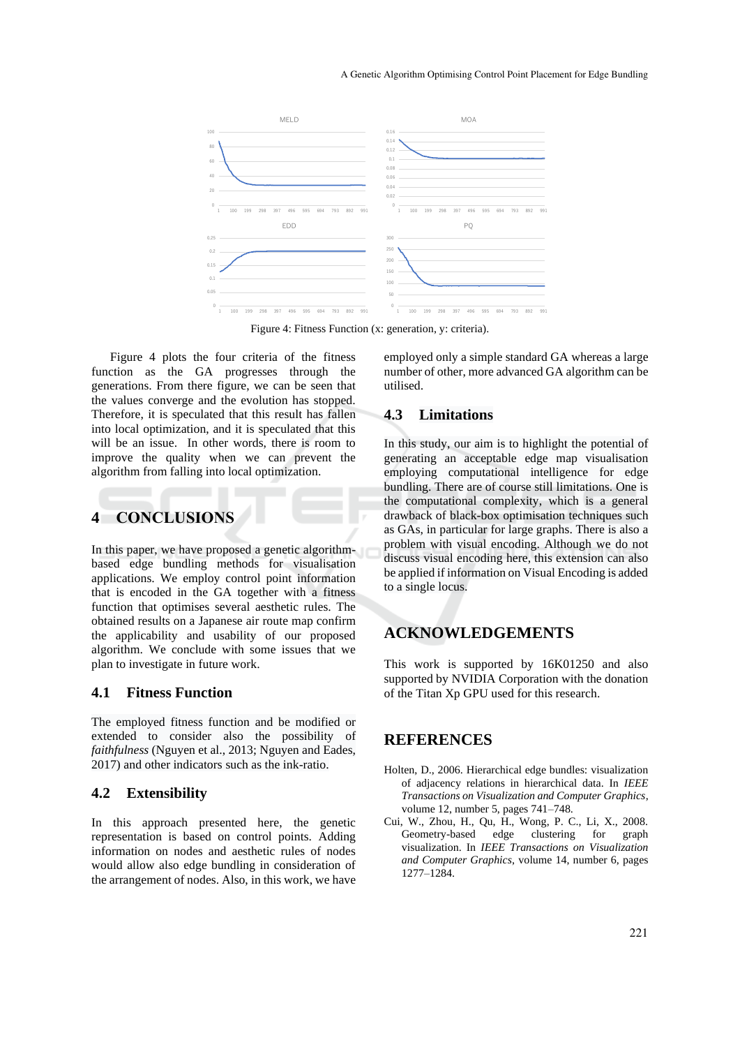

Figure 4: Fitness Function (x: generation, y: criteria).

Figure 4 plots the four criteria of the fitness function as the GA progresses through the generations. From there figure, we can be seen that the values converge and the evolution has stopped. Therefore, it is speculated that this result has fallen into local optimization, and it is speculated that this will be an issue. In other words, there is room to improve the quality when we can prevent the algorithm from falling into local optimization.

# **4 CONCLUSIONS**

In this paper, we have proposed a genetic algorithmbased edge bundling methods for visualisation applications. We employ control point information that is encoded in the GA together with a fitness function that optimises several aesthetic rules. The obtained results on a Japanese air route map confirm the applicability and usability of our proposed algorithm. We conclude with some issues that we plan to investigate in future work.

#### **4.1 Fitness Function**

The employed fitness function and be modified or extended to consider also the possibility of *faithfulness* (Nguyen et al., 2013; Nguyen and Eades, 2017) and other indicators such as the ink-ratio.

#### **4.2 Extensibility**

In this approach presented here, the genetic representation is based on control points. Adding information on nodes and aesthetic rules of nodes would allow also edge bundling in consideration of the arrangement of nodes. Also, in this work, we have employed only a simple standard GA whereas a large number of other, more advanced GA algorithm can be utilised.

## **4.3 Limitations**

In this study, our aim is to highlight the potential of generating an acceptable edge map visualisation employing computational intelligence for edge bundling. There are of course still limitations. One is the computational complexity, which is a general drawback of black-box optimisation techniques such as GAs, in particular for large graphs. There is also a problem with visual encoding. Although we do not discuss visual encoding here, this extension can also be applied if information on Visual Encoding is added to a single locus.

# **ACKNOWLEDGEMENTS**

This work is supported by 16K01250 and also supported by NVIDIA Corporation with the donation of the Titan Xp GPU used for this research.

## **REFERENCES**

- Holten, D., 2006. Hierarchical edge bundles: visualization of adjacency relations in hierarchical data. In *IEEE Transactions on Visualization and Computer Graphics*, volume 12, number 5, pages 741–748.
- Cui, W., Zhou, H., Qu, H., Wong, P. C., Li, X., 2008. Geometry-based edge clustering for graph visualization. In *IEEE Transactions on Visualization and Computer Graphics*, volume 14, number 6, pages 1277–1284.